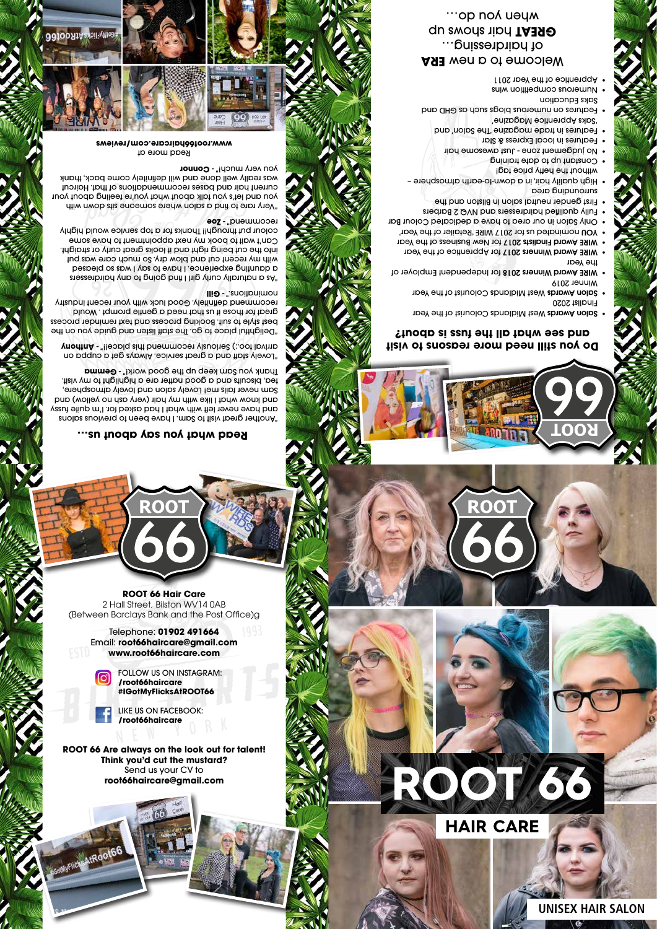

## **Do you still need more reasons to visit and see what all the fuss is about?**

**ROOT** 

Salon Awards West Midlands Colourist of the Year Finalist 2020

were Midlands Oolourist of the Year Salon And Salon And Area Winner 2019

• WIRE Award Winners 2018 for Independent Employer of

the Year wire Award Winners 2017 for Apprentice of the Year

bet Amard Finalists 2017 for New Business of the Year nominated us for 2017 WIRE 'Retailer of the Year' YOU •

'Saks Apprentice Magazine' Features on numerous blogs such as GHD and

Only Salon in our area to have a dedicated Colour Bar • Fully qualified hairdressers and NVQ 2 Barbers •

"Another great visit to Sam. I have been to previous salons and have never left with what I had asked for. I'm quite fussy and know what I like with my hair (very ash on yellow) and Sam never fails me! Lovely salon and lovely atmosphere, tisiv ym ot thgildgid o eno tefton boog a bng visit. <u> I</u>µauk \on gaw keeb nb µe Gooq molk!<sub>"</sub> - **Gewwa** 

First gender neutral salon in Bilston and the • surrounding area

- High quality hair, in a down-to-earth atmosphere without the hefty price tag!

onstant up to date training **e** 

o judgement zone - Just awesome hair

"Lovely staff and a great service. Always get a cuppa on arrival too.:) Seriously recommend this place!!" - Anthony

"Delightful place to go. The staff listen and guide you on the best style to suit. Booking process and text reminder process great for those if us that need a gentle prompt. Would recommend definitely. Good luck with your recent industry **Ilii nominations**. - Gill

Features in local Express & Star •

Features in trade magazine 'The Salon' and •

"As a naturally curly girl I find going to any hairdressers a daunting experience. I have to say I was so pleased with my recent cut and blow dry. So much care was put into the cut being right and it looks great curly or straight. Can't wait to book my next appointment to have some colour put through!! Thanks for a top service would highly **zoe** recommend " Saks Education

Numerous competition wins • Apprentice of the Year 2011 •

**ASE** wen b of emooleW of hairdressing… **du swons riph TA390** wheu hoor ...



ROOT

# **Read what you say about us…**

"Very rare to find a salon where someone sits down with you and let's you talk about what you're feeling about your current hair and bases recommendations of that. Haircut was really well done and will definitely come back, thank **you very much!" - Connor** 

Read more at **www.root66haircare.com/reviews**



**ROOT 66 Hair Care** 2 Hall Street, Bilston WV14 0AB (Between Barclays Bank and the Post Office)g

**ROOT** 

Telephone: **01902 491664** Email: **root66haircare@gmail.com www.root66haircare.com**

> FOLLOW US ON INSTAGRAM: **/root66haircare #IGotMyFlicksAtROOT66**



**ROOT 66 Are always on the look out for talent! Think you'd cut the mustard?** Send us your CV to **root66haircare@gmail.com**